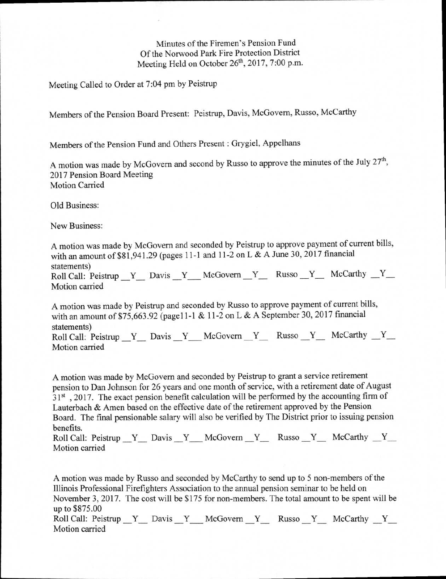Minutes of the Firemen's Pension Fund Of the Norwood Park Fire Protection District Meeting Held on October 26<sup>th</sup>, 2017, 7:00 p.m.

Meeting Called to Order at 7:04 pm by Peistrup

Members of the Pension Board Present: Peistrup, Davis, McGovern, Russo, McCarthy

Members of the Pension Fund and Others Present : Grygiel, Appelhans

A motion was made by McGovern and second by Russo to approve the minutes of the July 27<sup>th</sup>, 2017 Pension Board Meeting Motion Carried

Old Business:

New Business:

A motion was made by McGovern and seconded by Peistrup to approve payment of current bills, with an amount of \$81,941.29 (pages 11-1 and 11-2 on L & A June 30, 2017 financial statements) Roll Call: Peistrup  $Y_$  Davis  $Y_$  McGovern  $Y_$  Russo  $Y_$  McCarthy  $Y_$ Motion carried

A motion was made by Peistrup and seconded by Russo to approve payment of current bills, with an amount of \$75,663.92 (page11-1 & 11-2 on L & A September 30, 2017 financial statements) Roll Call: Peistrup  $Y_$  Davis  $Y_$  McGovern  $Y_$  Russo  $Y_$  McCarthy  $Y_$ Motion carried

A motion was made by McGovern and seconded by Peistrup to grant a service retirement pension to Dan Johnson for 26 years and one month of service, with a retirement date of August  $31<sup>st</sup>$ , 2017. The exact pension benefit calculation will be performed by the accounting firm of Lauterbach & Amen based on the effective date of the retirement approved by the Pension Board. The final pensionable salary will also be verified by The District prior to issuing pension benefits.

Roll Call: Peistrup Y Davis Y McGovern Y Russo Y McCarthy Y Motion carried

A motion was made by Russo and seconded by McCarthy to send up to 5 non-members of the Illinois Professional Firefighters Association to the annual pension seminar to be held on November 3, 2017. The cost will be \$175 for non-members. The total amount to be spent will be up to \$875.00 Roll Call: Peistrup Y Davis Y McGovern Y Russo Y McCarthy Y Motion carried